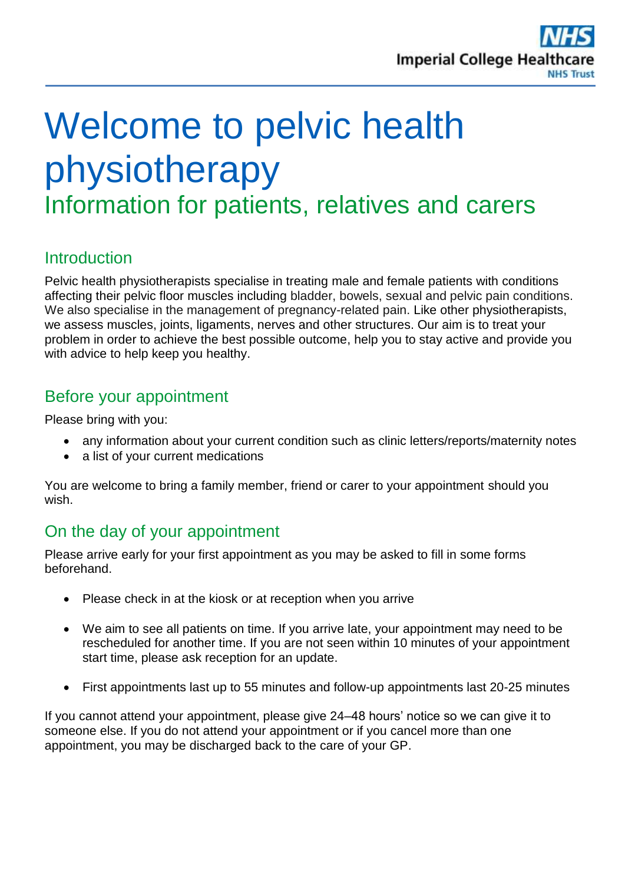

# Welcome to pelvic health physiotherapy Information for patients, relatives and carers

# **Introduction**

Pelvic health physiotherapists specialise in treating male and female patients with conditions affecting their pelvic floor muscles including bladder, bowels, sexual and pelvic pain conditions. We also specialise in the management of pregnancy-related pain. Like other physiotherapists, we assess muscles, joints, ligaments, nerves and other structures. Our aim is to treat your problem in order to achieve the best possible outcome, help you to stay active and provide you with advice to help keep you healthy.

## Before your appointment

Please bring with you:

- any information about your current condition such as clinic letters/reports/maternity notes
- a list of your current medications

You are welcome to bring a family member, friend or carer to your appointment should you wish.

## On the day of your appointment

Please arrive early for your first appointment as you may be asked to fill in some forms beforehand.

- Please check in at the kiosk or at reception when you arrive
- We aim to see all patients on time. If you arrive late, your appointment may need to be rescheduled for another time. If you are not seen within 10 minutes of your appointment start time, please ask reception for an update.
- First appointments last up to 55 minutes and follow-up appointments last 20-25 minutes

If you cannot attend your appointment, please give 24–48 hours' notice so we can give it to someone else. If you do not attend your appointment or if you cancel more than one appointment, you may be discharged back to the care of your GP.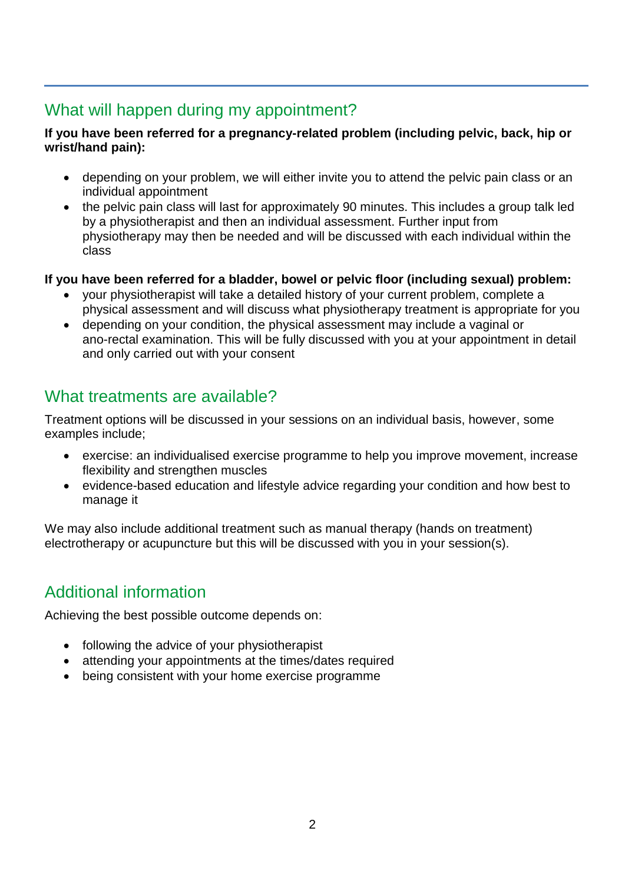## What will happen during my appointment?

#### **If you have been referred for a pregnancy-related problem (including pelvic, back, hip or wrist/hand pain):**

- depending on your problem, we will either invite you to attend the pelvic pain class or an individual appointment
- the pelvic pain class will last for approximately 90 minutes. This includes a group talk led by a physiotherapist and then an individual assessment. Further input from physiotherapy may then be needed and will be discussed with each individual within the class

#### **If you have been referred for a bladder, bowel or pelvic floor (including sexual) problem:**

- your physiotherapist will take a detailed history of your current problem, complete a physical assessment and will discuss what physiotherapy treatment is appropriate for you
- depending on your condition, the physical assessment may include a vaginal or ano-rectal examination. This will be fully discussed with you at your appointment in detail and only carried out with your consent

## What treatments are available?

Treatment options will be discussed in your sessions on an individual basis, however, some examples include;

- exercise: an individualised exercise programme to help you improve movement, increase flexibility and strengthen muscles
- evidence-based education and lifestyle advice regarding your condition and how best to manage it

We may also include additional treatment such as manual therapy (hands on treatment) electrotherapy or acupuncture but this will be discussed with you in your session(s).

# Additional information

Achieving the best possible outcome depends on:

- following the advice of your physiotherapist
- attending your appointments at the times/dates required
- being consistent with your home exercise programme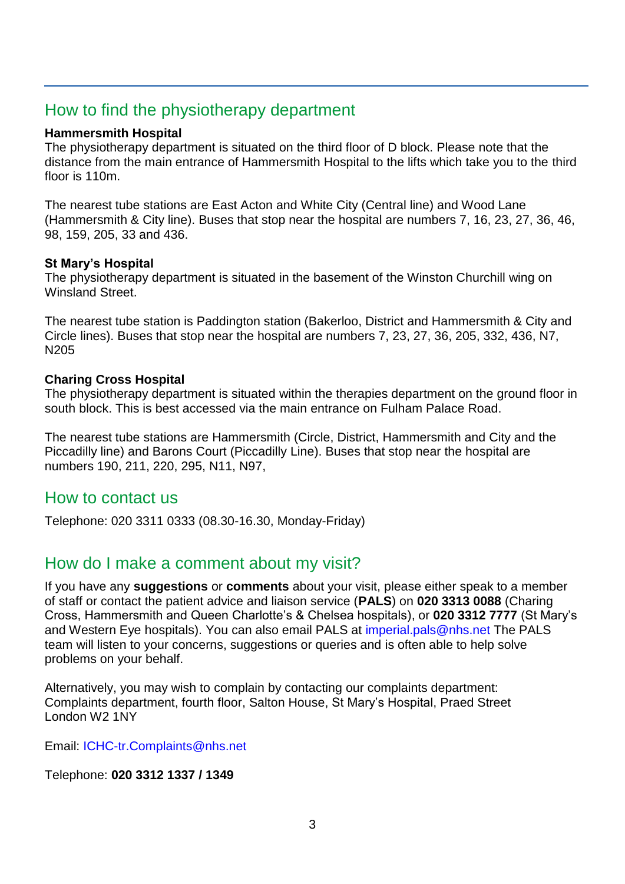## How to find the physiotherapy department

#### **Hammersmith Hospital**

The physiotherapy department is situated on the third floor of D block. Please note that the distance from the main entrance of Hammersmith Hospital to the lifts which take you to the third floor is 110m.

The nearest tube stations are East Acton and White City (Central line) and Wood Lane (Hammersmith & City line). Buses that stop near the hospital are numbers 7, 16, 23, 27, 36, 46, 98, 159, 205, 33 and 436.

#### **St Mary's Hospital**

The physiotherapy department is situated in the basement of the Winston Churchill wing on Winsland Street.

The nearest tube station is Paddington station (Bakerloo, District and Hammersmith & City and Circle lines). Buses that stop near the hospital are numbers 7, 23, 27, 36, 205, 332, 436, N7, N205

#### **Charing Cross Hospital**

The physiotherapy department is situated within the therapies department on the ground floor in south block. This is best accessed via the main entrance on Fulham Palace Road.

The nearest tube stations are Hammersmith (Circle, District, Hammersmith and City and the Piccadilly line) and Barons Court (Piccadilly Line). Buses that stop near the hospital are numbers 190, 211, 220, 295, N11, N97,

### How to contact us

Telephone: 020 3311 0333 (08.30-16.30, Monday-Friday)

### How do I make a comment about my visit?

If you have any **suggestions** or **comments** about your visit, please either speak to a member of staff or contact the patient advice and liaison service (**PALS**) on **020 3313 0088** (Charing Cross, Hammersmith and Queen Charlotte's & Chelsea hospitals), or **020 3312 7777** (St Mary's and Western Eye hospitals). You can also email PALS at [imperial.pals@nhs.net](mailto:imperial.pals@nhs.net) The PALS team will listen to your concerns, suggestions or queries and is often able to help solve problems on your behalf.

Alternatively, you may wish to complain by contacting our complaints department: Complaints department, fourth floor, Salton House, St Mary's Hospital, Praed Street London W2 1NY

Email: [ICHC-tr.Complaints@nhs.net](mailto:ICHC-tr.Complaints@nhs.net)

#### Telephone: **020 3312 1337 / 1349**